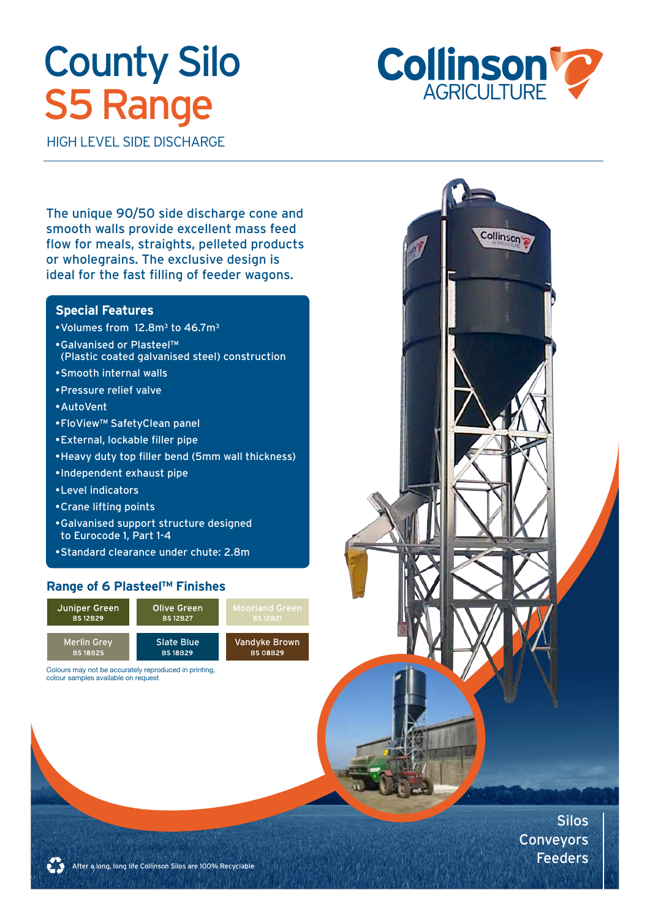# **County Silo S5 Range**



Collinson<sup>t</sup>

HIGH LEVEL SIDE DISCHARGE

The unique 90/50 side discharge cone and smooth walls provide excellent mass feed flow for meals, straights, pelleted products or wholegrains. The exclusive design is ideal for the fast filling of feeder wagons.

### **Special Features**

- • Volumes from 12.8m3 to 46.7m3
- • Galvanised or Plasteel™ (Plastic coated galvanised steel) construction
- • Smooth internal walls
- • Pressure relief valve
- • AutoVent
- • FloView™ SafetyClean panel
- • External, lockable filler pipe
- • Heavy duty top filler bend (5mm wall thickness)
- • Independent exhaust pipe
- • Level indicators
- • Crane lifting points
- • Galvanised support structure designed to Eurocode 1, Part 1-4
- • Standard clearance under chute: 2.8m

### **Range of 6 Plasteel™ Finishes**



Colours may not be accurately reproduced in printing, colour samples available on request